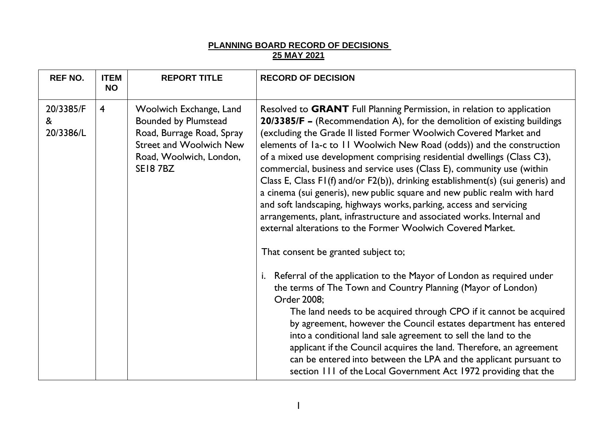## **PLANNING BOARD RECORD OF DECISIONS 25 MAY 2021**

| <b>REF NO.</b>              | <b>ITEM</b><br><b>NO</b> | <b>REPORT TITLE</b>                                                                                                                                         | <b>RECORD OF DECISION</b>                                                                                                                                                                                                                                                                                                                                                                                                                                                                                                                                                                                                                                                                                                                                                                                                                                                   |
|-----------------------------|--------------------------|-------------------------------------------------------------------------------------------------------------------------------------------------------------|-----------------------------------------------------------------------------------------------------------------------------------------------------------------------------------------------------------------------------------------------------------------------------------------------------------------------------------------------------------------------------------------------------------------------------------------------------------------------------------------------------------------------------------------------------------------------------------------------------------------------------------------------------------------------------------------------------------------------------------------------------------------------------------------------------------------------------------------------------------------------------|
| 20/3385/F<br>&<br>20/3386/L | $\overline{\mathbf{4}}$  | Woolwich Exchange, Land<br><b>Bounded by Plumstead</b><br>Road, Burrage Road, Spray<br><b>Street and Woolwich New</b><br>Road, Woolwich, London,<br>SE187BZ | Resolved to GRANT Full Planning Permission, in relation to application<br>20/3385/F - (Recommendation A), for the demolition of existing buildings<br>(excluding the Grade II listed Former Woolwich Covered Market and<br>elements of Ia-c to II Woolwich New Road (odds)) and the construction<br>of a mixed use development comprising residential dwellings (Class C3),<br>commercial, business and service uses (Class E), community use (within<br>Class E, Class FI(f) and/or F2(b)), drinking establishment(s) (sui generis) and<br>a cinema (sui generis), new public square and new public realm with hard<br>and soft landscaping, highways works, parking, access and servicing<br>arrangements, plant, infrastructure and associated works. Internal and<br>external alterations to the Former Woolwich Covered Market.<br>That consent be granted subject to; |
|                             |                          |                                                                                                                                                             | Referral of the application to the Mayor of London as required under<br>i.<br>the terms of The Town and Country Planning (Mayor of London)<br>Order 2008;<br>The land needs to be acquired through CPO if it cannot be acquired<br>by agreement, however the Council estates department has entered<br>into a conditional land sale agreement to sell the land to the<br>applicant if the Council acquires the land. Therefore, an agreement<br>can be entered into between the LPA and the applicant pursuant to<br>section 111 of the Local Government Act 1972 providing that the                                                                                                                                                                                                                                                                                        |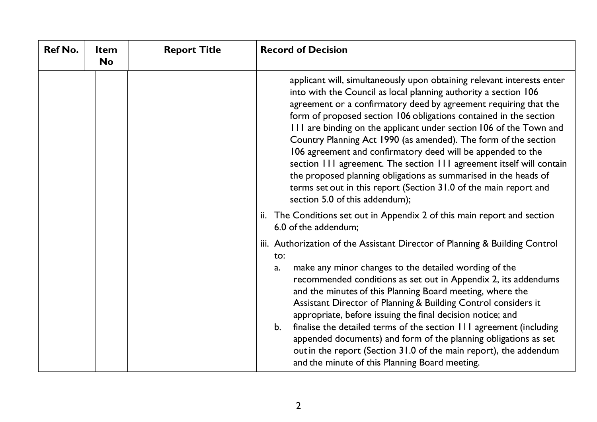| <b>Ref No.</b> | <b>Item</b><br><b>No</b> | <b>Report Title</b> | <b>Record of Decision</b>                                                                                                                                                                                                                                                                                                                                                                                                                                                                                                                                                                                                                                                                                                                    |
|----------------|--------------------------|---------------------|----------------------------------------------------------------------------------------------------------------------------------------------------------------------------------------------------------------------------------------------------------------------------------------------------------------------------------------------------------------------------------------------------------------------------------------------------------------------------------------------------------------------------------------------------------------------------------------------------------------------------------------------------------------------------------------------------------------------------------------------|
|                |                          |                     | applicant will, simultaneously upon obtaining relevant interests enter<br>into with the Council as local planning authority a section 106<br>agreement or a confirmatory deed by agreement requiring that the<br>form of proposed section 106 obligations contained in the section<br>III are binding on the applicant under section 106 of the Town and<br>Country Planning Act 1990 (as amended). The form of the section<br>106 agreement and confirmatory deed will be appended to the<br>section 111 agreement. The section 111 agreement itself will contain<br>the proposed planning obligations as summarised in the heads of<br>terms set out in this report (Section 31.0 of the main report and<br>section 5.0 of this addendum); |
|                |                          |                     | ii. The Conditions set out in Appendix 2 of this main report and section<br>6.0 of the addendum;                                                                                                                                                                                                                                                                                                                                                                                                                                                                                                                                                                                                                                             |
|                |                          |                     | iii. Authorization of the Assistant Director of Planning & Building Control<br>to:                                                                                                                                                                                                                                                                                                                                                                                                                                                                                                                                                                                                                                                           |
|                |                          |                     | make any minor changes to the detailed wording of the<br>a.<br>recommended conditions as set out in Appendix 2, its addendums<br>and the minutes of this Planning Board meeting, where the<br>Assistant Director of Planning & Building Control considers it<br>appropriate, before issuing the final decision notice; and<br>finalise the detailed terms of the section 111 agreement (including<br>b.<br>appended documents) and form of the planning obligations as set<br>out in the report (Section 31.0 of the main report), the addendum<br>and the minute of this Planning Board meeting.                                                                                                                                            |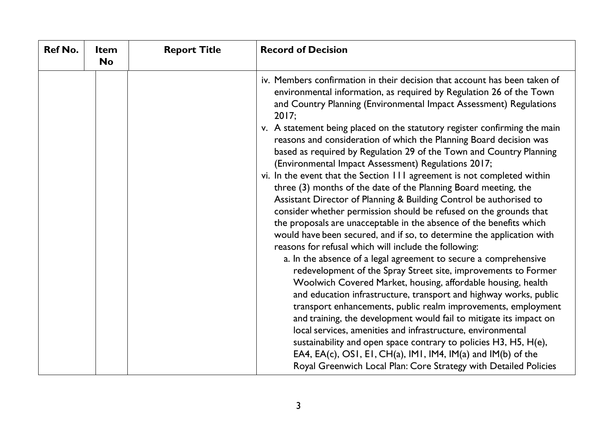| <b>Ref No.</b> | <b>Item</b><br><b>No</b> | <b>Report Title</b> | <b>Record of Decision</b>                                                                                                                                                                                                                                                                                                                                                                                                                                                                                                                                                                                                                                                                                                                                                                                                                                                                                                                                                                                                                                                                                                                                                                                                                                                                                                                                                                                                                                                                                                                                                                                                                                                                                   |
|----------------|--------------------------|---------------------|-------------------------------------------------------------------------------------------------------------------------------------------------------------------------------------------------------------------------------------------------------------------------------------------------------------------------------------------------------------------------------------------------------------------------------------------------------------------------------------------------------------------------------------------------------------------------------------------------------------------------------------------------------------------------------------------------------------------------------------------------------------------------------------------------------------------------------------------------------------------------------------------------------------------------------------------------------------------------------------------------------------------------------------------------------------------------------------------------------------------------------------------------------------------------------------------------------------------------------------------------------------------------------------------------------------------------------------------------------------------------------------------------------------------------------------------------------------------------------------------------------------------------------------------------------------------------------------------------------------------------------------------------------------------------------------------------------------|
|                |                          |                     | iv. Members confirmation in their decision that account has been taken of<br>environmental information, as required by Regulation 26 of the Town<br>and Country Planning (Environmental Impact Assessment) Regulations<br>2017;<br>v. A statement being placed on the statutory register confirming the main<br>reasons and consideration of which the Planning Board decision was<br>based as required by Regulation 29 of the Town and Country Planning<br>(Environmental Impact Assessment) Regulations 2017;<br>vi. In the event that the Section 111 agreement is not completed within<br>three (3) months of the date of the Planning Board meeting, the<br>Assistant Director of Planning & Building Control be authorised to<br>consider whether permission should be refused on the grounds that<br>the proposals are unacceptable in the absence of the benefits which<br>would have been secured, and if so, to determine the application with<br>reasons for refusal which will include the following:<br>a. In the absence of a legal agreement to secure a comprehensive<br>redevelopment of the Spray Street site, improvements to Former<br>Woolwich Covered Market, housing, affordable housing, health<br>and education infrastructure, transport and highway works, public<br>transport enhancements, public realm improvements, employment<br>and training, the development would fail to mitigate its impact on<br>local services, amenities and infrastructure, environmental<br>sustainability and open space contrary to policies H3, H5, H(e),<br>EA4, EA(c), OS1, E1, CH(a), IM1, IM4, IM(a) and IM(b) of the<br>Royal Greenwich Local Plan: Core Strategy with Detailed Policies |